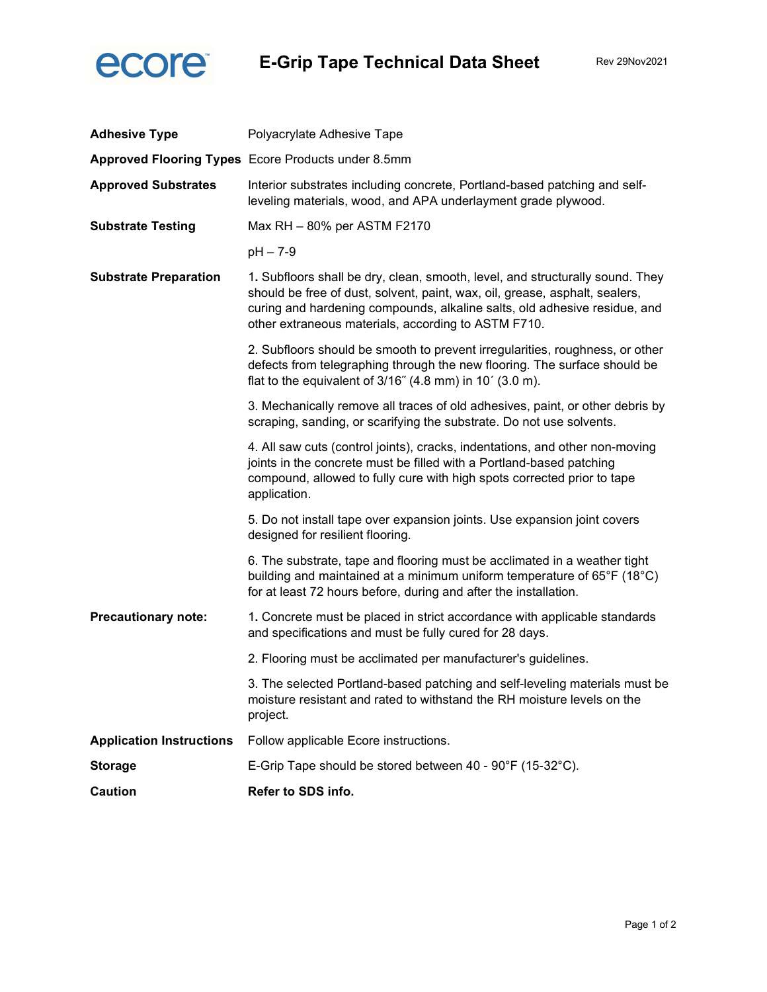

| <b>Adhesive Type</b>            | Polyacrylate Adhesive Tape                                                                                                                                                                                                                                                                       |  |
|---------------------------------|--------------------------------------------------------------------------------------------------------------------------------------------------------------------------------------------------------------------------------------------------------------------------------------------------|--|
|                                 | Approved Flooring Types Ecore Products under 8.5mm                                                                                                                                                                                                                                               |  |
| <b>Approved Substrates</b>      | Interior substrates including concrete, Portland-based patching and self-<br>leveling materials, wood, and APA underlayment grade plywood.                                                                                                                                                       |  |
| <b>Substrate Testing</b>        | Max RH - 80% per ASTM F2170                                                                                                                                                                                                                                                                      |  |
|                                 | $pH - 7-9$                                                                                                                                                                                                                                                                                       |  |
| <b>Substrate Preparation</b>    | 1. Subfloors shall be dry, clean, smooth, level, and structurally sound. They<br>should be free of dust, solvent, paint, wax, oil, grease, asphalt, sealers,<br>curing and hardening compounds, alkaline salts, old adhesive residue, and<br>other extraneous materials, according to ASTM F710. |  |
|                                 | 2. Subfloors should be smooth to prevent irregularities, roughness, or other<br>defects from telegraphing through the new flooring. The surface should be<br>flat to the equivalent of $3/16$ " (4.8 mm) in 10' (3.0 m).                                                                         |  |
|                                 | 3. Mechanically remove all traces of old adhesives, paint, or other debris by<br>scraping, sanding, or scarifying the substrate. Do not use solvents.                                                                                                                                            |  |
|                                 | 4. All saw cuts (control joints), cracks, indentations, and other non-moving<br>joints in the concrete must be filled with a Portland-based patching<br>compound, allowed to fully cure with high spots corrected prior to tape<br>application.                                                  |  |
|                                 | 5. Do not install tape over expansion joints. Use expansion joint covers<br>designed for resilient flooring.                                                                                                                                                                                     |  |
|                                 | 6. The substrate, tape and flooring must be acclimated in a weather tight<br>building and maintained at a minimum uniform temperature of 65°F (18°C)<br>for at least 72 hours before, during and after the installation.                                                                         |  |
| <b>Precautionary note:</b>      | 1. Concrete must be placed in strict accordance with applicable standards<br>and specifications and must be fully cured for 28 days.                                                                                                                                                             |  |
|                                 | 2. Flooring must be acclimated per manufacturer's guidelines.                                                                                                                                                                                                                                    |  |
|                                 | 3. The selected Portland-based patching and self-leveling materials must be<br>moisture resistant and rated to withstand the RH moisture levels on the<br>project.                                                                                                                               |  |
| <b>Application Instructions</b> | Follow applicable Ecore instructions.                                                                                                                                                                                                                                                            |  |
| <b>Storage</b>                  | E-Grip Tape should be stored between 40 - 90°F (15-32°C).                                                                                                                                                                                                                                        |  |
| <b>Caution</b>                  | Refer to SDS info.                                                                                                                                                                                                                                                                               |  |